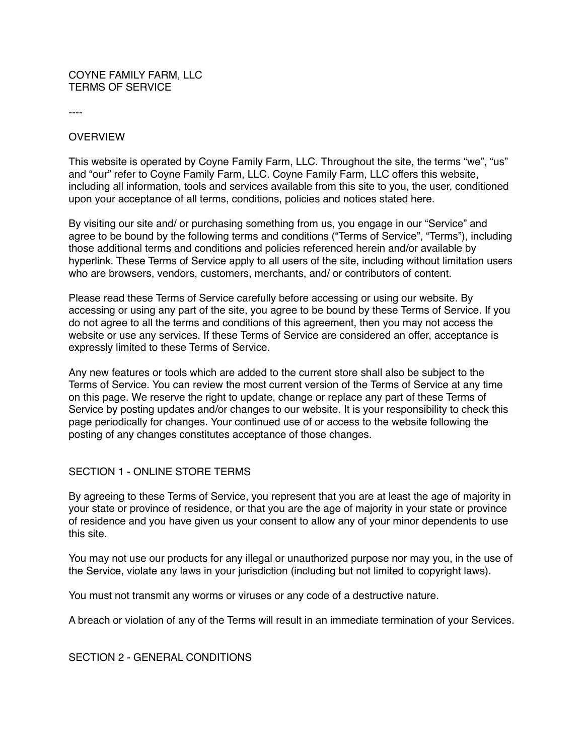COYNE FAMILY FARM, LLC TERMS OF SERVICE

----

### **OVERVIEW**

This website is operated by Coyne Family Farm, LLC. Throughout the site, the terms "we", "us" and "our" refer to Coyne Family Farm, LLC. Coyne Family Farm, LLC offers this website, including all information, tools and services available from this site to you, the user, conditioned upon your acceptance of all terms, conditions, policies and notices stated here.

By visiting our site and/ or purchasing something from us, you engage in our "Service" and agree to be bound by the following terms and conditions ("Terms of Service", "Terms"), including those additional terms and conditions and policies referenced herein and/or available by hyperlink. These Terms of Service apply to all users of the site, including without limitation users who are browsers, vendors, customers, merchants, and/ or contributors of content.

Please read these Terms of Service carefully before accessing or using our website. By accessing or using any part of the site, you agree to be bound by these Terms of Service. If you do not agree to all the terms and conditions of this agreement, then you may not access the website or use any services. If these Terms of Service are considered an offer, acceptance is expressly limited to these Terms of Service.

Any new features or tools which are added to the current store shall also be subject to the Terms of Service. You can review the most current version of the Terms of Service at any time on this page. We reserve the right to update, change or replace any part of these Terms of Service by posting updates and/or changes to our website. It is your responsibility to check this page periodically for changes. Your continued use of or access to the website following the posting of any changes constitutes acceptance of those changes.

# SECTION 1 - ONLINE STORE TERMS

By agreeing to these Terms of Service, you represent that you are at least the age of majority in your state or province of residence, or that you are the age of majority in your state or province of residence and you have given us your consent to allow any of your minor dependents to use this site.

You may not use our products for any illegal or unauthorized purpose nor may you, in the use of the Service, violate any laws in your jurisdiction (including but not limited to copyright laws).

You must not transmit any worms or viruses or any code of a destructive nature.

A breach or violation of any of the Terms will result in an immediate termination of your Services.

SECTION 2 - GENERAL CONDITIONS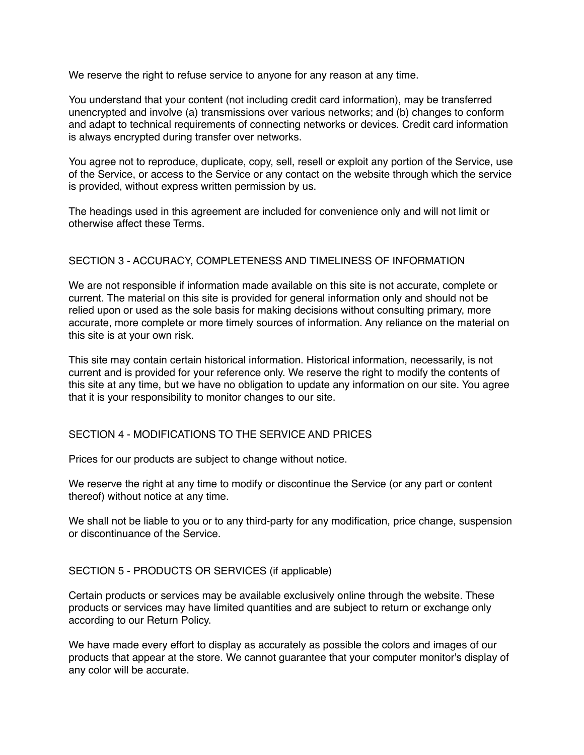We reserve the right to refuse service to anyone for any reason at any time.

You understand that your content (not including credit card information), may be transferred unencrypted and involve (a) transmissions over various networks; and (b) changes to conform and adapt to technical requirements of connecting networks or devices. Credit card information is always encrypted during transfer over networks.

You agree not to reproduce, duplicate, copy, sell, resell or exploit any portion of the Service, use of the Service, or access to the Service or any contact on the website through which the service is provided, without express written permission by us.

The headings used in this agreement are included for convenience only and will not limit or otherwise affect these Terms.

# SECTION 3 - ACCURACY, COMPLETENESS AND TIMELINESS OF INFORMATION

We are not responsible if information made available on this site is not accurate, complete or current. The material on this site is provided for general information only and should not be relied upon or used as the sole basis for making decisions without consulting primary, more accurate, more complete or more timely sources of information. Any reliance on the material on this site is at your own risk.

This site may contain certain historical information. Historical information, necessarily, is not current and is provided for your reference only. We reserve the right to modify the contents of this site at any time, but we have no obligation to update any information on our site. You agree that it is your responsibility to monitor changes to our site.

# SECTION 4 - MODIFICATIONS TO THE SERVICE AND PRICES

Prices for our products are subject to change without notice.

We reserve the right at any time to modify or discontinue the Service (or any part or content thereof) without notice at any time.

We shall not be liable to you or to any third-party for any modification, price change, suspension or discontinuance of the Service.

SECTION 5 - PRODUCTS OR SERVICES (if applicable)

Certain products or services may be available exclusively online through the website. These products or services may have limited quantities and are subject to return or exchange only according to our Return Policy.

We have made every effort to display as accurately as possible the colors and images of our products that appear at the store. We cannot guarantee that your computer monitor's display of any color will be accurate.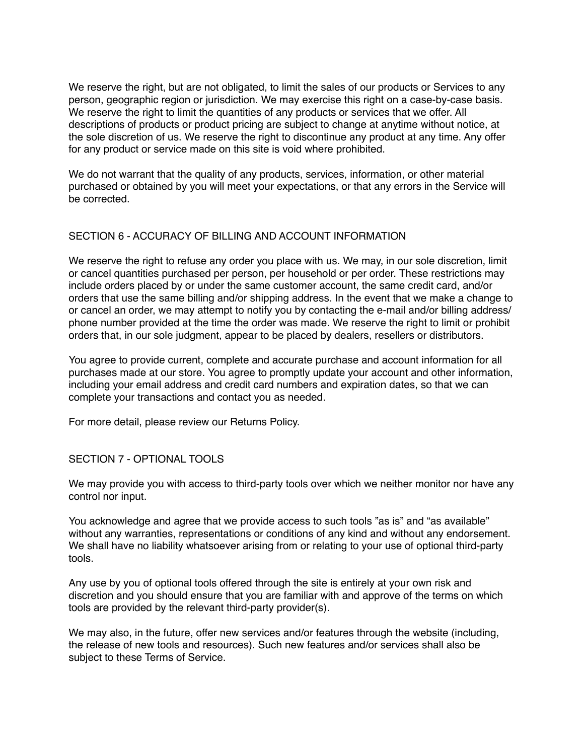We reserve the right, but are not obligated, to limit the sales of our products or Services to any person, geographic region or jurisdiction. We may exercise this right on a case-by-case basis. We reserve the right to limit the quantities of any products or services that we offer. All descriptions of products or product pricing are subject to change at anytime without notice, at the sole discretion of us. We reserve the right to discontinue any product at any time. Any offer for any product or service made on this site is void where prohibited.

We do not warrant that the quality of any products, services, information, or other material purchased or obtained by you will meet your expectations, or that any errors in the Service will be corrected.

# SECTION 6 - ACCURACY OF BILLING AND ACCOUNT INFORMATION

We reserve the right to refuse any order you place with us. We may, in our sole discretion, limit or cancel quantities purchased per person, per household or per order. These restrictions may include orders placed by or under the same customer account, the same credit card, and/or orders that use the same billing and/or shipping address. In the event that we make a change to or cancel an order, we may attempt to notify you by contacting the e-mail and/or billing address/ phone number provided at the time the order was made. We reserve the right to limit or prohibit orders that, in our sole judgment, appear to be placed by dealers, resellers or distributors.

You agree to provide current, complete and accurate purchase and account information for all purchases made at our store. You agree to promptly update your account and other information, including your email address and credit card numbers and expiration dates, so that we can complete your transactions and contact you as needed.

For more detail, please review our Returns Policy.

### SECTION 7 - OPTIONAL TOOLS

We may provide you with access to third-party tools over which we neither monitor nor have any control nor input.

You acknowledge and agree that we provide access to such tools "as is" and "as available" without any warranties, representations or conditions of any kind and without any endorsement. We shall have no liability whatsoever arising from or relating to your use of optional third-party tools.

Any use by you of optional tools offered through the site is entirely at your own risk and discretion and you should ensure that you are familiar with and approve of the terms on which tools are provided by the relevant third-party provider(s).

We may also, in the future, offer new services and/or features through the website (including, the release of new tools and resources). Such new features and/or services shall also be subject to these Terms of Service.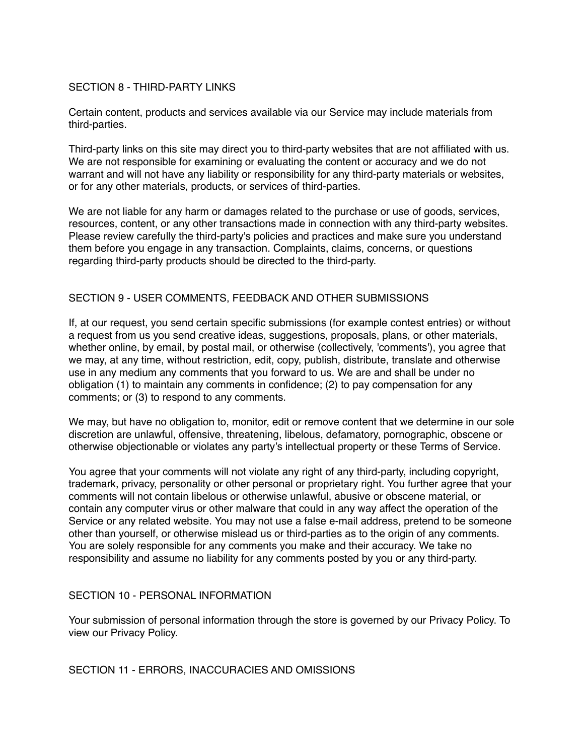## SECTION 8 - THIRD-PARTY LINKS

Certain content, products and services available via our Service may include materials from third-parties.

Third-party links on this site may direct you to third-party websites that are not affiliated with us. We are not responsible for examining or evaluating the content or accuracy and we do not warrant and will not have any liability or responsibility for any third-party materials or websites, or for any other materials, products, or services of third-parties.

We are not liable for any harm or damages related to the purchase or use of goods, services, resources, content, or any other transactions made in connection with any third-party websites. Please review carefully the third-party's policies and practices and make sure you understand them before you engage in any transaction. Complaints, claims, concerns, or questions regarding third-party products should be directed to the third-party.

## SECTION 9 - USER COMMENTS, FEEDBACK AND OTHER SUBMISSIONS

If, at our request, you send certain specific submissions (for example contest entries) or without a request from us you send creative ideas, suggestions, proposals, plans, or other materials, whether online, by email, by postal mail, or otherwise (collectively, 'comments'), you agree that we may, at any time, without restriction, edit, copy, publish, distribute, translate and otherwise use in any medium any comments that you forward to us. We are and shall be under no obligation (1) to maintain any comments in confidence; (2) to pay compensation for any comments; or (3) to respond to any comments.

We may, but have no obligation to, monitor, edit or remove content that we determine in our sole discretion are unlawful, offensive, threatening, libelous, defamatory, pornographic, obscene or otherwise objectionable or violates any party's intellectual property or these Terms of Service.

You agree that your comments will not violate any right of any third-party, including copyright, trademark, privacy, personality or other personal or proprietary right. You further agree that your comments will not contain libelous or otherwise unlawful, abusive or obscene material, or contain any computer virus or other malware that could in any way affect the operation of the Service or any related website. You may not use a false e-mail address, pretend to be someone other than yourself, or otherwise mislead us or third-parties as to the origin of any comments. You are solely responsible for any comments you make and their accuracy. We take no responsibility and assume no liability for any comments posted by you or any third-party.

### SECTION 10 - PERSONAL INFORMATION

Your submission of personal information through the store is governed by our Privacy Policy. To view our Privacy Policy.

SECTION 11 - ERRORS, INACCURACIES AND OMISSIONS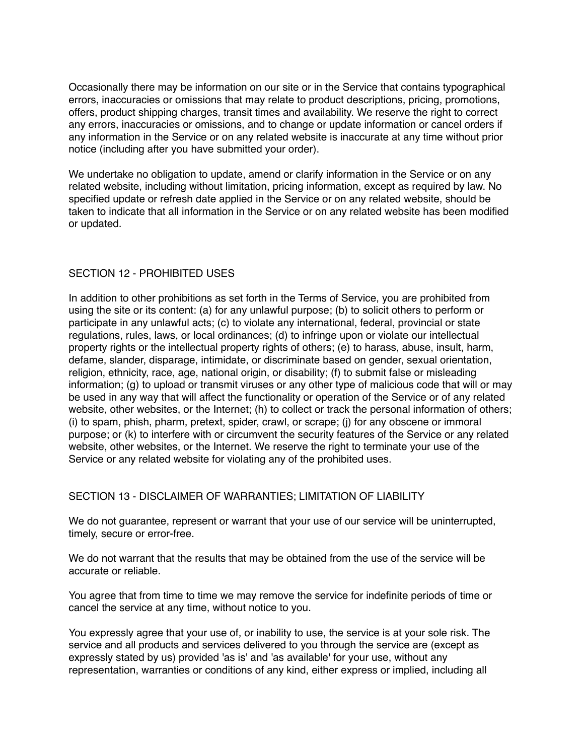Occasionally there may be information on our site or in the Service that contains typographical errors, inaccuracies or omissions that may relate to product descriptions, pricing, promotions, offers, product shipping charges, transit times and availability. We reserve the right to correct any errors, inaccuracies or omissions, and to change or update information or cancel orders if any information in the Service or on any related website is inaccurate at any time without prior notice (including after you have submitted your order).

We undertake no obligation to update, amend or clarify information in the Service or on any related website, including without limitation, pricing information, except as required by law. No specified update or refresh date applied in the Service or on any related website, should be taken to indicate that all information in the Service or on any related website has been modified or updated.

# SECTION 12 - PROHIBITED USES

In addition to other prohibitions as set forth in the Terms of Service, you are prohibited from using the site or its content: (a) for any unlawful purpose; (b) to solicit others to perform or participate in any unlawful acts; (c) to violate any international, federal, provincial or state regulations, rules, laws, or local ordinances; (d) to infringe upon or violate our intellectual property rights or the intellectual property rights of others; (e) to harass, abuse, insult, harm, defame, slander, disparage, intimidate, or discriminate based on gender, sexual orientation, religion, ethnicity, race, age, national origin, or disability; (f) to submit false or misleading information; (g) to upload or transmit viruses or any other type of malicious code that will or may be used in any way that will affect the functionality or operation of the Service or of any related website, other websites, or the Internet; (h) to collect or track the personal information of others; (i) to spam, phish, pharm, pretext, spider, crawl, or scrape; (j) for any obscene or immoral purpose; or (k) to interfere with or circumvent the security features of the Service or any related website, other websites, or the Internet. We reserve the right to terminate your use of the Service or any related website for violating any of the prohibited uses.

# SECTION 13 - DISCLAIMER OF WARRANTIES; LIMITATION OF LIABILITY

We do not guarantee, represent or warrant that your use of our service will be uninterrupted, timely, secure or error-free.

We do not warrant that the results that may be obtained from the use of the service will be accurate or reliable.

You agree that from time to time we may remove the service for indefinite periods of time or cancel the service at any time, without notice to you.

You expressly agree that your use of, or inability to use, the service is at your sole risk. The service and all products and services delivered to you through the service are (except as expressly stated by us) provided 'as is' and 'as available' for your use, without any representation, warranties or conditions of any kind, either express or implied, including all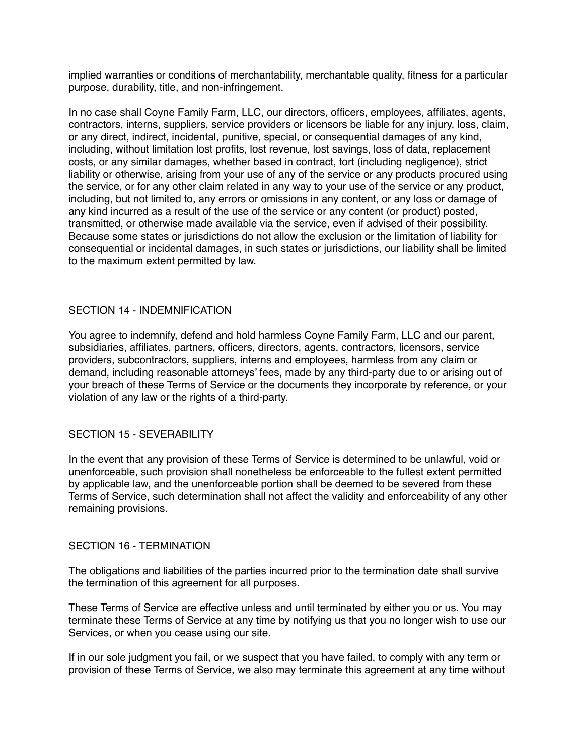implied warranties or conditions of merchantability, merchantable quality, fitness for a particular purpose, durability, title, and non-infringement.

In no case shall Coyne Family Farm, LLC, our directors, officers, employees, affiliates, agents, contractors, interns, suppliers, service providers or licensors be liable for any injury, loss, claim, or any direct, indirect, incidental, punitive, special, or consequential damages of any kind, including, without limitation lost profits, lost revenue, lost savings, loss of data, replacement costs, or any similar damages, whether based in contract, tort (including negligence), strict liability or otherwise, arising from your use of any of the service or any products procured using the service, or for any other claim related in any way to your use of the service or any product, including, but not limited to, any errors or omissions in any content, or any loss or damage of any kind incurred as a result of the use of the service or any content (or product) posted, transmitted, or otherwise made available via the service, even if advised of their possibility. Because some states or jurisdictions do not allow the exclusion or the limitation of liability for consequential or incidental damages, in such states or jurisdictions, our liability shall be limited to the maximum extent permitted by law.

## SECTION 14 - INDEMNIFICATION

You agree to indemnify, defend and hold harmless Coyne Family Farm, LLC and our parent, subsidiaries, affiliates, partners, officers, directors, agents, contractors, licensors, service providers, subcontractors, suppliers, interns and employees, harmless from any claim or demand, including reasonable attorneys' fees, made by any third-party due to or arising out of your breach of these Terms of Service or the documents they incorporate by reference, or your violation of any law or the rights of a third-party.

# SECTION 15 - SEVERABILITY

In the event that any provision of these Terms of Service is determined to be unlawful, void or unenforceable, such provision shall nonetheless be enforceable to the fullest extent permitted by applicable law, and the unenforceable portion shall be deemed to be severed from these Terms of Service, such determination shall not affect the validity and enforceability of any other remaining provisions.

### SECTION 16 - TERMINATION

The obligations and liabilities of the parties incurred prior to the termination date shall survive the termination of this agreement for all purposes.

These Terms of Service are effective unless and until terminated by either you or us. You may terminate these Terms of Service at any time by notifying us that you no longer wish to use our Services, or when you cease using our site.

If in our sole judgment you fail, or we suspect that you have failed, to comply with any term or provision of these Terms of Service, we also may terminate this agreement at any time without